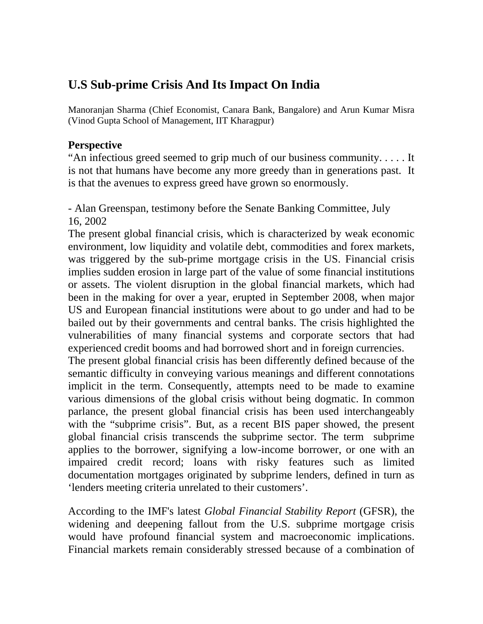# **U.S Sub-prime Crisis And Its Impact On India**

Manoranjan Sharma (Chief Economist, Canara Bank, Bangalore) and Arun Kumar Misra (Vinod Gupta School of Management, IIT Kharagpur)

# **Perspective**

"An infectious greed seemed to grip much of our business community. . . . . It is not that humans have become any more greedy than in generations past. It is that the avenues to express greed have grown so enormously.

- Alan Greenspan, testimony before the Senate Banking Committee, July 16, 2002

The present global financial crisis, which is characterized by weak economic environment, low liquidity and volatile debt, commodities and forex markets, was triggered by the sub-prime mortgage crisis in the US. Financial crisis implies sudden erosion in large part of the value of some financial institutions or assets. The violent disruption in the global financial markets, which had been in the making for over a year, erupted in September 2008, when major US and European financial institutions were about to go under and had to be bailed out by their governments and central banks. The crisis highlighted the vulnerabilities of many financial systems and corporate sectors that had experienced credit booms and had borrowed short and in foreign currencies.

The present global financial crisis has been differently defined because of the semantic difficulty in conveying various meanings and different connotations implicit in the term. Consequently, attempts need to be made to examine various dimensions of the global crisis without being dogmatic. In common parlance, the present global financial crisis has been used interchangeably with the "subprime crisis". But, as a recent BIS paper showed, the present global financial crisis transcends the subprime sector. The term subprime applies to the borrower, signifying a low-income borrower, or one with an impaired credit record; loans with risky features such as limited documentation mortgages originated by subprime lenders, defined in turn as 'lenders meeting criteria unrelated to their customers'.

According to the IMF's latest *Global Financial Stability Report* (GFSR), the widening and deepening fallout from the U.S. subprime mortgage crisis would have profound financial system and macroeconomic implications. Financial markets remain considerably stressed because of a combination of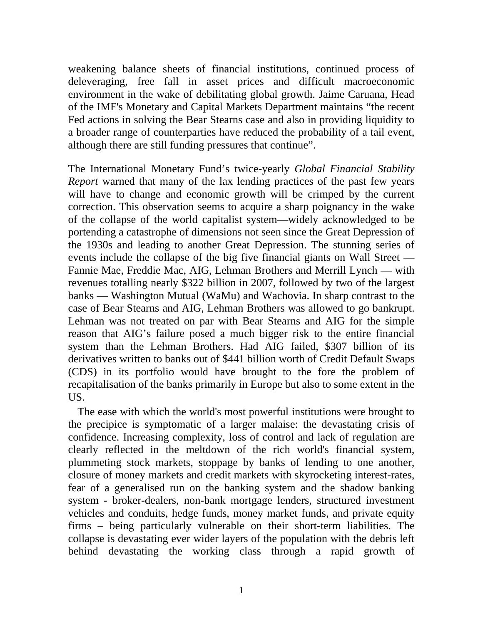weakening balance sheets of financial institutions, continued process of deleveraging, free fall in asset prices and difficult macroeconomic environment in the wake of debilitating global growth. Jaime Caruana, Head of the IMF's Monetary and Capital Markets Department maintains "the recent Fed actions in solving the Bear Stearns case and also in providing liquidity to a broader range of counterparties have reduced the probability of a tail event, although there are still funding pressures that continue".

The International Monetary Fund's twice-yearly *Global Financial Stability Report* warned that many of the lax lending practices of the past few years will have to change and economic growth will be crimped by the current correction. This observation seems to acquire a sharp poignancy in the wake of the collapse of the world capitalist system—widely acknowledged to be portending a catastrophe of dimensions not seen since the Great Depression of the 1930s and leading to another Great Depression. The stunning series of events include the collapse of the big five financial giants on Wall Street — Fannie Mae, Freddie Mac, AIG, Lehman Brothers and Merrill Lynch — with revenues totalling nearly \$322 billion in 2007, followed by two of the largest banks — Washington Mutual (WaMu) and Wachovia. In sharp contrast to the case of Bear Stearns and AIG, Lehman Brothers was allowed to go bankrupt. Lehman was not treated on par with Bear Stearns and AIG for the simple reason that AIG's failure posed a much bigger risk to the entire financial system than the Lehman Brothers. Had AIG failed, \$307 billion of its derivatives written to banks out of \$441 billion worth of Credit Default Swaps (CDS) in its portfolio would have brought to the fore the problem of recapitalisation of the banks primarily in Europe but also to some extent in the US.

The ease with which the world's most powerful institutions were brought to the precipice is symptomatic of a larger malaise: the devastating crisis of confidence. Increasing complexity, loss of control and lack of regulation are clearly reflected in the meltdown of the rich world's financial system, plummeting stock markets, stoppage by banks of lending to one another, closure of money markets and credit markets with skyrocketing interest-rates, fear of a generalised run on the banking system and the shadow banking system - broker-dealers, non-bank mortgage lenders, structured investment vehicles and conduits, hedge funds, money market funds, and private equity firms – being particularly vulnerable on their short-term liabilities. The collapse is devastating ever wider layers of the population with the debris left behind devastating the working class through a rapid growth of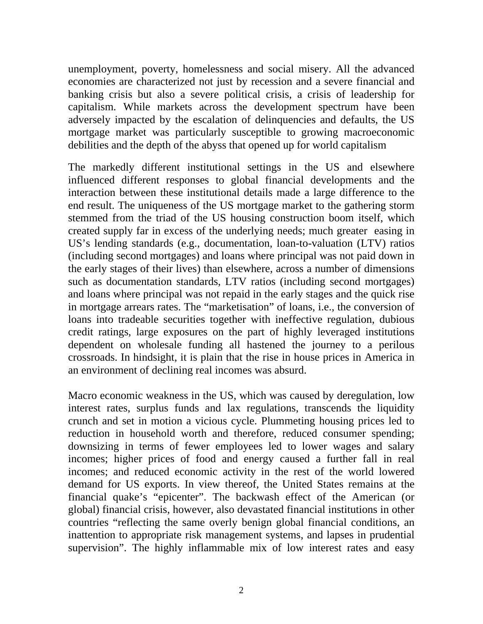unemployment, poverty, homelessness and social misery. All the advanced economies are characterized not just by recession and a severe financial and banking crisis but also a severe political crisis, a crisis of leadership for capitalism. While markets across the development spectrum have been adversely impacted by the escalation of delinquencies and defaults, the US mortgage market was particularly susceptible to growing macroeconomic debilities and the depth of the abyss that opened up for world capitalism

The markedly different institutional settings in the US and elsewhere influenced different responses to global financial developments and the interaction between these institutional details made a large difference to the end result. The uniqueness of the US mortgage market to the gathering storm stemmed from the triad of the US housing construction boom itself, which created supply far in excess of the underlying needs; much greater easing in US's lending standards (e.g., documentation, loan-to-valuation (LTV) ratios (including second mortgages) and loans where principal was not paid down in the early stages of their lives) than elsewhere, across a number of dimensions such as documentation standards, LTV ratios (including second mortgages) and loans where principal was not repaid in the early stages and the quick rise in mortgage arrears rates. The "marketisation" of loans, i.e., the conversion of loans into tradeable securities together with ineffective regulation, dubious [credit ratings,](http://economictimes.indiatimes.com/Opinion/Columnists/T_T_Ram_Mohan/Dont_blame_it_on_subprime_loans/articleshow/msid-3653039,curpg-2.cms) large exposures on the part of highly leveraged institutions dependent on wholesale funding all hastened the journey to a perilous crossroads. In hindsight, it is plain that the rise in house prices in America in an environment of declining real incomes was absurd.

Macro economic weakness in the US, which was caused by deregulation, low interest rates, surplus funds and lax regulations, transcends the liquidity crunch and set in motion a vicious cycle. Plummeting housing prices led to reduction in household worth and therefore, reduced consumer spending; downsizing in terms of fewer employees led to lower wages and salary incomes; higher prices of food and energy caused a further fall in real incomes; and reduced economic activity in the rest of the world lowered demand for US exports. In view thereof, the United States remains at the financial quake's "epicenter". The backwash effect of the American (or global) financial crisis, however, also devastated financial institutions in other countries "reflecting the same overly benign global financial conditions, an inattention to appropriate risk management systems, and lapses in prudential supervision". The highly inflammable mix of low interest rates and easy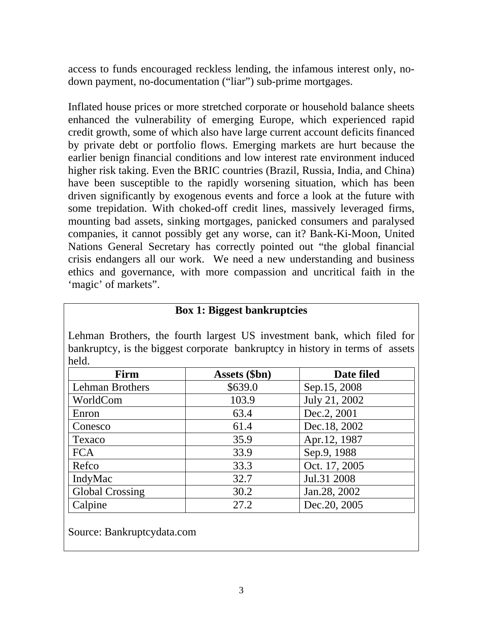access to funds encouraged reckless lending, the infamous interest only, nodown payment, no-documentation ("liar") sub-prime mortgages.

Inflated house prices or more stretched corporate or household balance sheets enhanced the vulnerability of emerging Europe, which experienced rapid credit growth, some of which also have large current account deficits financed by private debt or portfolio flows. Emerging markets are hurt because the earlier benign financial conditions and low interest rate environment induced higher risk taking. Even the BRIC countries (Brazil, Russia, India, and China) have been susceptible to the rapidly worsening situation, which has been driven significantly by exogenous events and force a look at the future with some trepidation. With choked-off credit lines, massively leveraged firms, mounting bad assets, sinking mortgages, panicked consumers and paralysed companies, it cannot possibly get any worse, can it? Bank-Ki-Moon, United Nations General Secretary has correctly pointed out "the global financial crisis endangers all our work. We need a new understanding and business ethics and governance, with more compassion and uncritical faith in the 'magic' of markets".

| Lehman Brothers, the fourth largest US investment bank, which filed for |               |               |
|-------------------------------------------------------------------------|---------------|---------------|
|                                                                         |               |               |
| held.                                                                   |               |               |
| Firm                                                                    | Assets (\$bn) | Date filed    |
| <b>Lehman Brothers</b>                                                  | \$639.0       | Sep.15, 2008  |
| WorldCom                                                                | 103.9         | July 21, 2002 |
| Enron                                                                   | 63.4          | Dec.2, 2001   |
| Conesco                                                                 | 61.4          | Dec.18, 2002  |
| Texaco                                                                  | 35.9          | Apr.12, 1987  |
| <b>FCA</b>                                                              | 33.9          | Sep.9, 1988   |
| Refco                                                                   | 33.3          | Oct. 17, 2005 |
| IndyMac                                                                 | 32.7          | Jul.31 2008   |
| <b>Global Crossing</b>                                                  | 30.2          | Jan. 28, 2002 |
| Calpine                                                                 | 27.2          | Dec. 20, 2005 |

#### **Box 1: Biggest bankruptcies**

Source: Bankruptcydata.com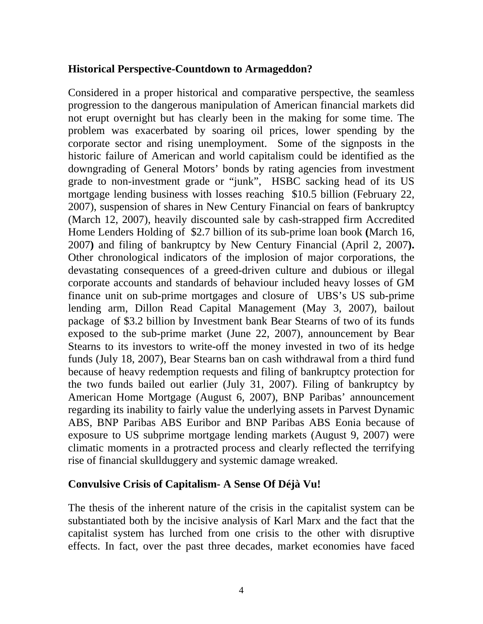### **Historical Perspective-Countdown to Armageddon?**

Considered in a proper historical and comparative perspective, the seamless progression to the dangerous manipulation of American financial markets did not erupt overnight but has clearly been in the making for some time. The problem was exacerbated by soaring oil prices, lower spending by the corporate sector and rising unemployment. Some of the signposts in the historic failure of American and world capitalism could be identified as the downgrading of General Motors' bonds by rating agencies from investment grade to non-investment grade or "junk", HSBC sacking head of its US mortgage lending business with losses reaching \$10.5 billion (February 22, 2007), suspension of shares in New Century Financial on fears of bankruptcy (March 12, 2007), heavily discounted sale by cash-strapped firm Accredited Home Lenders Holding of \$2.7 billion of its sub-prime loan book **(**March 16, 2007**)** and filing of bankruptcy by New Century Financial (April 2, 2007**).**  Other chronological indicators of the implosion of major corporations, the devastating consequences of a greed-driven culture and dubious or illegal corporate accounts and standards of behaviour included heavy losses of GM finance unit on sub-prime mortgages and closure of UBS's US sub-prime lending arm, Dillon Read Capital Management (May 3, 2007), bailout package of \$3.2 billion by Investment bank Bear Stearns of two of its funds exposed to the sub-prime market (June 22, 2007), announcement by Bear Stearns to its investors to write-off the money invested in two of its hedge funds (July 18, 2007), Bear Stearns ban on cash withdrawal from a third fund because of heavy redemption requests and filing of bankruptcy protection for the two funds bailed out earlier (July 31, 2007). Filing of bankruptcy by American Home Mortgage (August 6, 2007), BNP Paribas' announcement regarding its inability to fairly value the underlying assets in Parvest Dynamic ABS, BNP Paribas ABS Euribor and BNP Paribas ABS Eonia because of exposure to US subprime mortgage lending markets (August 9, 2007) were climatic moments in a protracted process and clearly reflected the terrifying rise of financial skullduggery and systemic damage wreaked.

## **Convulsive Crisis of Capitalism- A Sense Of Déjà Vu!**

The thesis of the inherent nature of the crisis in the capitalist system can be substantiated both by the incisive analysis of Karl Marx and the fact that the capitalist system has lurched from one crisis to the other with disruptive effects. In fact, over the past three decades, market economies have faced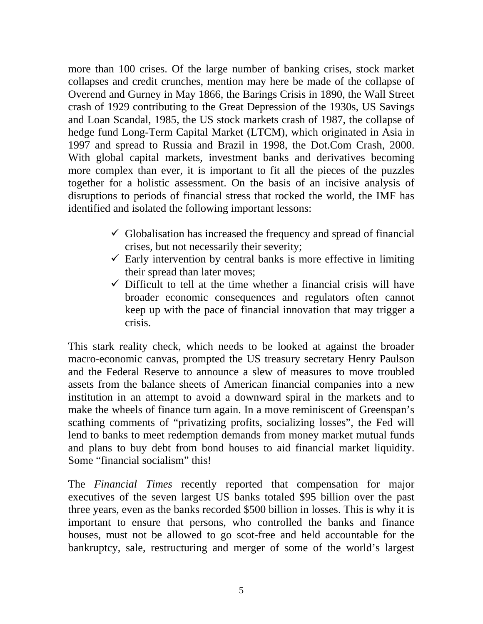more than 100 crises. Of the large number of banking crises, stock market collapses and credit crunches, mention may here be made of the collapse of Overend and Gurney in May 1866, the Barings Crisis in 1890, the Wall Street crash of 1929 contributing to the Great Depression of the 1930s, US Savings and Loan Scandal, 1985, the US stock markets crash of 1987, the collapse of hedge fund Long-Term Capital Market (LTCM), which originated in Asia in 1997 and spread to Russia and Brazil in 1998, the Dot.Com Crash, 2000. With global capital markets, investment banks and derivatives becoming more complex than ever, it is important to fit all the pieces of the puzzles together for a holistic assessment. On the basis of an incisive analysis of disruptions to periods of financial stress that rocked the world, the IMF has identified and isolated the following important lessons:

- $\checkmark$  Globalisation has increased the frequency and spread of financial crises, but not necessarily their severity;
- $\checkmark$  Early intervention by central banks is more effective in limiting their spread than later moves;
- $\checkmark$  Difficult to tell at the time whether a financial crisis will have broader economic consequences and regulators often cannot keep up with the pace of financial innovation that may trigger a crisis.

This stark reality check, which needs to be looked at against the broader macro-economic canvas, prompted the US treasury secretary Henry Paulson and the Federal Reserve to announce a slew of measures to move troubled assets from the balance sheets of American financial companies into a new institution in an attempt to avoid a downward spiral in the markets and to make the wheels of finance turn again. In a move reminiscent of Greenspan's scathing comments of "privatizing profits, socializing losses", the Fed will lend to banks to meet redemption demands from money market mutual funds and plans to buy debt from bond houses to aid financial market liquidity. Some "financial socialism" this!

The *Financial Times* recently reported that compensation for major executives of the seven largest US banks totaled \$95 billion over the past three years, even as the banks recorded \$500 billion in losses. This is why it is important to ensure that persons, who controlled the banks and finance houses, must not be allowed to go scot-free and held accountable for the bankruptcy, sale, restructuring and merger of some of the world's largest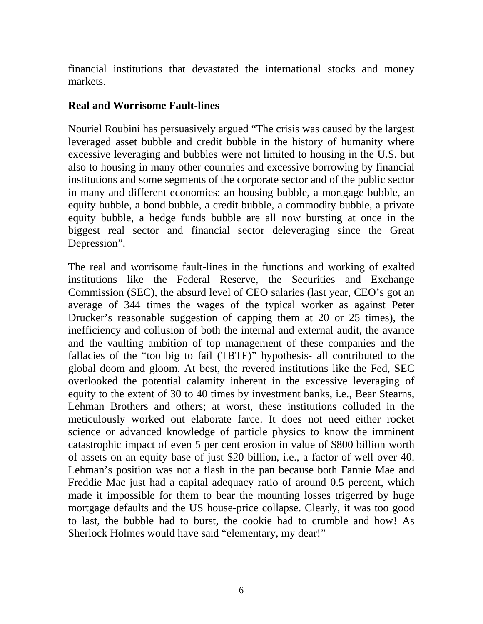financial institutions that devastated the international stocks and money markets.

### **Real and Worrisome Fault-lines**

Nouriel Roubini has persuasively argued "The crisis was caused by the largest leveraged asset bubble and credit bubble in the history of humanity where excessive leveraging and bubbles were not limited to housing in the U.S. but also to housing in many other countries and excessive borrowing by financial institutions and some segments of the corporate sector and of the public sector in many and different economies: an housing bubble, a mortgage bubble, an equity bubble, a bond bubble, a credit bubble, a commodity bubble, a private equity bubble, a hedge funds bubble are all now bursting at once in the biggest real sector and financial sector deleveraging since the Great Depression".

The real and worrisome fault-lines in the functions and working of exalted institutions like the Federal Reserve, the Securities and Exchange Commission (SEC), the absurd level of CEO salaries (last year, CEO's got an average of 344 times the wages of the typical worker as against Peter Drucker's reasonable suggestion of capping them at 20 or 25 times), the inefficiency and collusion of both the internal and external audit, the avarice and the vaulting ambition of top management of these companies and the fallacies of the "too big to fail (TBTF)" hypothesis- all contributed to the global doom and gloom. At best, the revered institutions like the Fed, SEC overlooked the potential calamity inherent in the excessive leveraging of equity to the extent of 30 to 40 times by investment banks, i.e., Bear Stearns, Lehman Brothers and others; at worst, these institutions colluded in the meticulously worked out elaborate farce. It does not need either rocket science or advanced knowledge of particle physics to know the imminent catastrophic impact of even 5 per cent erosion in value of \$800 billion worth of assets on an equity base of just \$20 billion, i.e., a factor of well over 40. Lehman's position was not a flash in the pan because both Fannie Mae and Freddie Mac just had a capital adequacy ratio of around 0.5 percent, which made it impossible for them to bear the mounting losses trigerred by huge mortgage defaults and the US house-price collapse. Clearly, it was too good to last, the bubble had to burst, the cookie had to crumble and how! As Sherlock Holmes would have said "elementary, my dear!"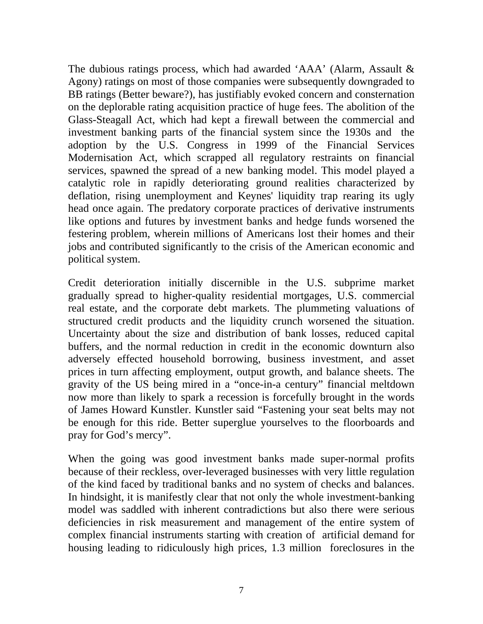The dubious ratings process, which had awarded 'AAA' (Alarm, Assault & Agony) ratings on most of those companies were subsequently downgraded to BB ratings (Better beware?), has justifiably evoked concern and consternation on the deplorable rating acquisition practice of huge fees. The abolition of the Glass-Steagall Act, which had kept a firewall between the commercial and investment banking parts of the financial system since the 1930s and the adoption by the U.S. Congress in 1999 of the Financial Services Modernisation Act, which scrapped all regulatory restraints on financial services, spawned the spread of a new banking model. This model played a catalytic role in rapidly deteriorating ground realities characterized by deflation, rising unemployment and Keynes' liquidity trap rearing its ugly head once again. The predatory corporate practices of derivative instruments like options and futures by investment banks and hedge funds worsened the festering problem, wherein millions of Americans lost their homes and their jobs and contributed significantly to the crisis of the American economic and political system.

Credit deterioration initially discernible in the U.S. subprime market gradually spread to higher-quality residential mortgages, U.S. commercial real estate, and the corporate debt markets. The plummeting valuations of structured credit products and the liquidity crunch worsened the situation. Uncertainty about the size and distribution of bank losses, reduced capital buffers, and the normal reduction in credit in the economic downturn also adversely effected household borrowing, business investment, and asset prices in turn affecting employment, output growth, and balance sheets. The gravity of the US being mired in a "once-in-a century" financial meltdown now more than likely to spark a recession is forcefully brought in the words of James Howard Kunstler. Kunstler said "Fastening your seat belts may not be enough for this ride. Better superglue yourselves to the floorboards and pray for God's mercy".

When the going was good investment banks made super-normal profits because of their reckless, over-leveraged businesses with very little regulation of the kind faced by traditional banks and no system of checks and balances. In hindsight, it is manifestly clear that not only the whole investment-banking model was saddled with inherent contradictions but also there were serious deficiencies in risk measurement and management of the entire system of complex financial instruments starting with creation of artificial demand for housing leading to ridiculously high prices, 1.3 million foreclosures in the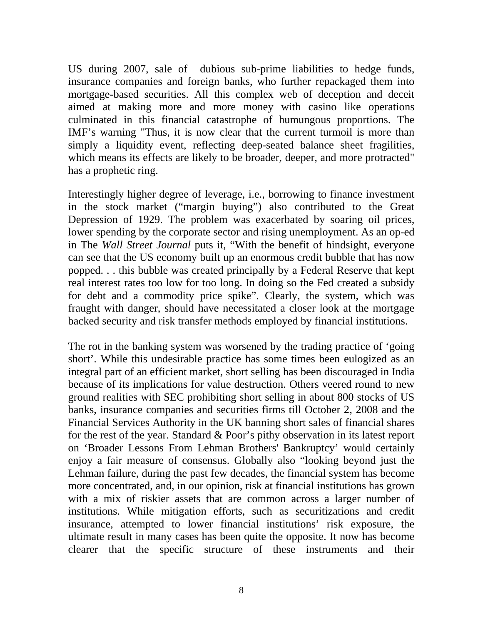US during 2007, sale of dubious sub-prime liabilities to hedge funds, insurance companies and foreign banks, who further repackaged them into mortgage-based securities. All this complex web of deception and deceit aimed at making more and more money with casino like operations culminated in this financial catastrophe of humungous proportions. The IMF's warning "Thus, it is now clear that the current turmoil is more than simply a liquidity event, reflecting deep-seated balance sheet fragilities, which means its effects are likely to be broader, deeper, and more protracted" has a prophetic ring.

Interestingly higher degree of leverage, i.e., borrowing to finance investment in the stock market ("margin buying") also contributed to the Great Depression of 1929. The problem was exacerbated by soaring oil prices, lower spending by the corporate sector and rising unemployment. As an op-ed in The *Wall Street Journal* puts it, "With the benefit of hindsight, everyone can see that the US economy built up an enormous credit bubble that has now popped. . . this bubble was created principally by a Federal Reserve that kept real interest rates too low for too long. In doing so the Fed created a subsidy for debt and a commodity price spike". Clearly, the system, which was fraught with danger, should have necessitated a closer look at the mortgage backed security and risk transfer methods employed by financial institutions.

The rot in the banking system was worsened by the trading practice of 'going short'. While this undesirable practice has some times been eulogized as an integral part of an efficient market, short selling has been discouraged in India because of its implications for value destruction. Others veered round to new ground realities with SEC prohibiting short selling in about 800 stocks of US banks, insurance companies and securities firms till October 2, 2008 and the Financial Services Authority in the UK banning short sales of financial shares for the rest of the year. Standard & Poor's pithy observation in its latest report on 'Broader Lessons From Lehman Brothers' Bankruptcy' would certainly enjoy a fair measure of consensus. Globally also "looking beyond just the Lehman failure, during the past few decades, the financial system has become more concentrated, and, in our opinion, risk at financial institutions has grown with a mix of riskier assets that are common across a larger number of institutions. While mitigation efforts, such as securitizations and credit insurance, attempted to lower financial institutions' risk exposure, the ultimate result in many cases has been quite the opposite. It now has become clearer that the specific structure of these instruments and their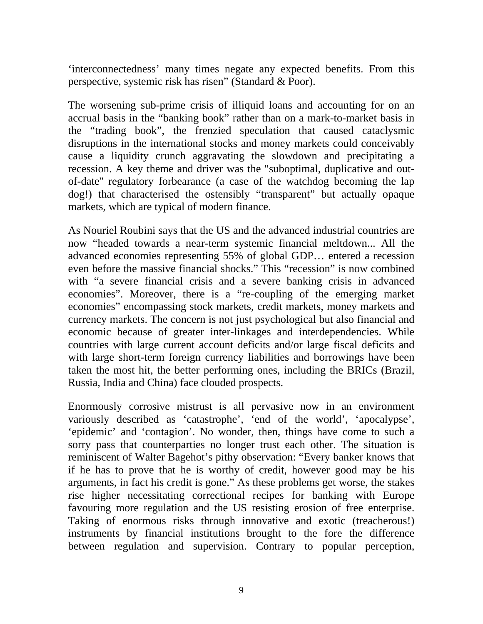'interconnectedness' many times negate any expected benefits. From this perspective, systemic risk has risen" (Standard & Poor).

The worsening sub-prime crisis of illiquid loans and accounting for on an accrual basis in the "banking book" rather than on a mark-to-market basis in the "trading book", the frenzied speculation that caused cataclysmic disruptions in the international stocks and money markets could conceivably cause a liquidity crunch aggravating the slowdown and precipitating a recession. A key theme and driver was the "suboptimal, duplicative and outof-date'' regulatory forbearance (a case of the watchdog becoming the lap dog!) that characterised the ostensibly "transparent" but actually opaque markets, which are typical of modern finance.

As Nouriel Roubini says that the US and the advanced industrial countries are now "headed towards a near-term systemic financial meltdown... All the advanced economies representing 55% of global GDP… entered a recession even before the massive financial shocks." This "recession" is now combined with "a severe financial crisis and a severe banking crisis in advanced economies". Moreover, there is a "re-coupling of the emerging market economies" encompassing stock markets, credit markets, money markets and currency markets. The concern is not just psychological but also financial and economic because of greater inter-linkages and interdependencies. While countries with large current account deficits and/or large fiscal deficits and with large short-term foreign currency liabilities and borrowings have been taken the most hit, the better performing ones, including the BRICs (Brazil, Russia, India and China) face clouded prospects.

Enormously corrosive mistrust is all pervasive now in an environment variously described as 'catastrophe', 'end of the world', 'apocalypse', 'epidemic' and 'contagion'. No wonder, then, things have come to such a sorry pass that counterparties no longer trust each other. The situation is reminiscent of Walter Bagehot's pithy observation: "Every banker knows that if he has to prove that he is worthy of credit, however good may be his arguments, in fact his credit is gone." As these problems get worse, the stakes rise higher necessitating correctional recipes for banking with Europe favouring more regulation and the US resisting erosion of free enterprise. Taking of enormous risks through innovative and exotic (treacherous!) instruments by financial institutions brought to the fore the difference between regulation and supervision. Contrary to popular perception,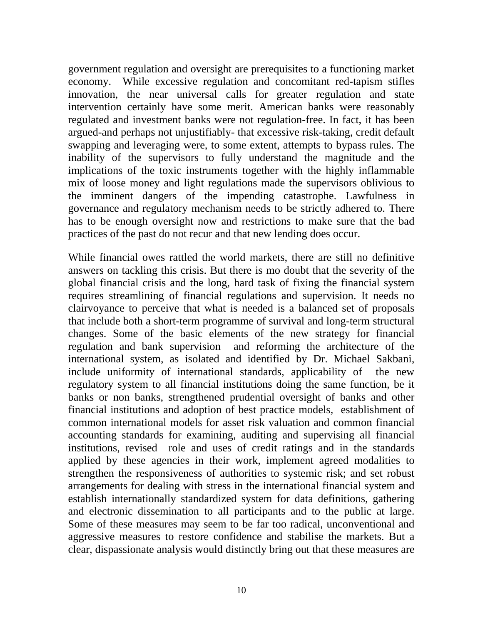government regulation and oversight are prerequisites to a functioning market economy. While excessive regulation and concomitant red-tapism stifles innovation, the near universal calls for greater regulation and state intervention certainly have some merit. American banks were reasonably regulated and investment banks were not regulation-free. In fact, it has been argued-and perhaps not unjustifiably- that excessive risk-taking, credit default swapping and leveraging were, to some extent, attempts to bypass rules. The inability of the supervisors to fully understand the magnitude and the implications of the toxic instruments together with the highly inflammable mix of loose money and light regulations made the supervisors oblivious to the imminent dangers of the impending catastrophe. Lawfulness in governance and regulatory mechanism needs to be strictly adhered to. There has to be enough oversight now and restrictions to make sure that the bad practices of the past do not recur and that new lending does occur.

While financial owes rattled the world markets, there are still no definitive answers on tackling this crisis. But there is mo doubt that the severity of the global financial crisis and the long, hard task of fixing the financial system requires streamlining of financial regulations and supervision. It needs no clairvoyance to perceive that what is needed is a balanced set of proposals that include both a short-term programme of survival and long-term structural changes. Some of the basic elements of the new strategy for financial regulation and bank supervision and reforming the architecture of the international system, as isolated and identified by Dr. Michael Sakbani, include uniformity of international standards, applicability of the new regulatory system to all financial institutions doing the same function, be it banks or non banks, strengthened prudential oversight of banks and other financial institutions and adoption of best practice models, establishment of common international models for asset risk valuation and common financial accounting standards for examining, auditing and supervising all financial institutions, revised role and uses of credit ratings and in the standards applied by these agencies in their work, implement agreed modalities to strengthen the responsiveness of authorities to systemic risk; and set robust arrangements for dealing with stress in the international financial system and establish internationally standardized system for data definitions, gathering and electronic dissemination to all participants and to the public at large. Some of these measures may seem to be far too radical, unconventional and aggressive measures to restore confidence and stabilise the markets. But a clear, dispassionate analysis would distinctly bring out that these measures are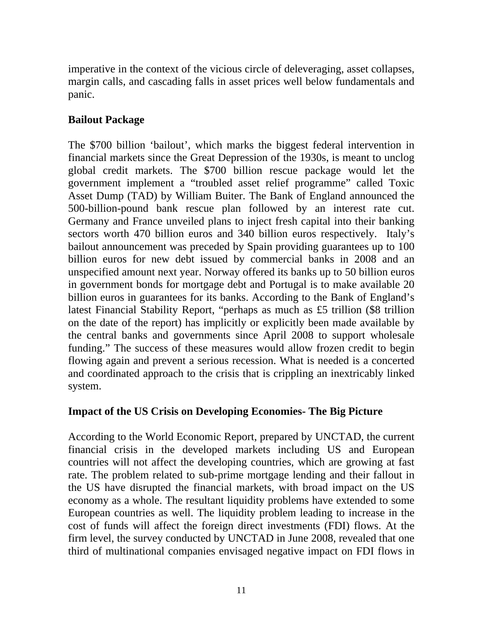imperative in the context of the vicious circle of deleveraging, asset collapses, margin calls, and cascading falls in asset prices well below fundamentals and panic.

# **Bailout Package**

The \$700 billion 'bailout', which marks the biggest federal intervention in financial markets since the Great Depression of the 1930s, is meant to unclog global credit markets. The \$700 billion rescue package would let the government implement a "troubled asset relief programme" called Toxic Asset Dump (TAD) by William Buiter. The Bank of England announced the 500-billion-pound bank rescue plan followed by an interest rate cut. Germany and France unveiled plans to inject fresh capital into their banking sectors worth 470 billion euros and 340 billion euros respectively. Italy's bailout announcement was preceded by Spain providing guarantees up to 100 billion euros for new debt issued by commercial banks in 2008 and an unspecified amount next year. Norway offered its banks up to 50 billion euros in government bonds for mortgage debt and Portugal is to make available 20 billion euros in guarantees for its banks. According to the Bank of England's latest Financial Stability Report, "perhaps as much as £5 trillion (\$8 trillion on the date of the report) has implicitly or explicitly been made available by the central banks and governments since April 2008 to support wholesale funding." The success of these measures would allow frozen credit to begin flowing again and prevent a serious recession. What is needed is a concerted and coordinated approach to the crisis that is crippling an inextricably linked system.

## **Impact of the US Crisis on Developing Economies- The Big Picture**

According to the World Economic Report, prepared by UNCTAD, the current financial crisis in the developed markets including US and European countries will not affect the developing countries, which are growing at fast rate. The problem related to sub-prime mortgage lending and their fallout in the US have disrupted the financial markets, with broad impact on the US economy as a whole. The resultant liquidity problems have extended to some European countries as well. The liquidity problem leading to increase in the cost of funds will affect the foreign direct investments (FDI) flows. At the firm level, the survey conducted by UNCTAD in June 2008, revealed that one third of multinational companies envisaged negative impact on FDI flows in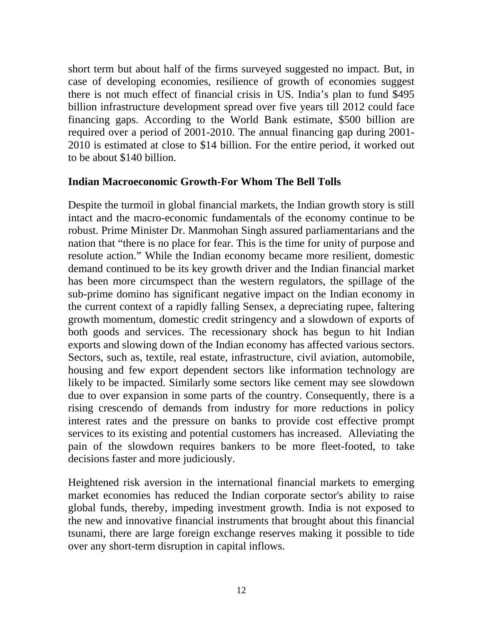short term but about half of the firms surveyed suggested no impact. But, in case of developing economies, resilience of growth of economies suggest there is not much effect of financial crisis in US. India's plan to fund \$495 billion infrastructure development spread over five years till 2012 could face financing gaps. According to the World Bank estimate, \$500 billion are required over a period of 2001-2010. The annual financing gap during 2001- 2010 is estimated at close to \$14 billion. For the entire period, it worked out to be about \$140 billion.

## **Indian Macroeconomic Growth-For Whom The Bell Tolls**

Despite the turmoil in global financial markets, the Indian growth story is still intact and the macro-economic fundamentals of the economy continue to be robust. Prime Minister Dr. Manmohan Singh assured parliamentarians and the nation that "there is no place for fear. This is the time for unity of purpose and resolute action." While the Indian economy became more resilient, domestic demand continued to be its key growth driver and the Indian financial market has been more circumspect than the western regulators, the spillage of the sub-prime domino has significant negative impact on the Indian economy in the current context of a rapidly falling Sensex, a depreciating rupee, faltering growth momentum, domestic credit stringency and a slowdown of exports of both goods and services. The recessionary shock has begun to hit Indian exports and slowing down of the Indian economy has affected various sectors. Sectors, such as, textile, real estate, infrastructure, civil aviation, automobile, housing and few export dependent sectors like information technology are likely to be impacted. Similarly some sectors like cement may see slowdown due to over expansion in some parts of the country. Consequently, there is a rising crescendo of demands from industry for more reductions in policy interest rates and the pressure on banks to provide cost effective prompt services to its existing and potential customers has increased. Alleviating the pain of the slowdown requires bankers to be more fleet-footed, to take decisions faster and more judiciously.

Heightened risk aversion in the international financial markets to emerging market economies has reduced the Indian corporate sector's ability to raise global funds, thereby, impeding investment growth. India is not exposed to the new and innovative financial instruments that brought about this financial tsunami, there are large foreign exchange reserves making it possible to tide over any short-term disruption in capital inflows.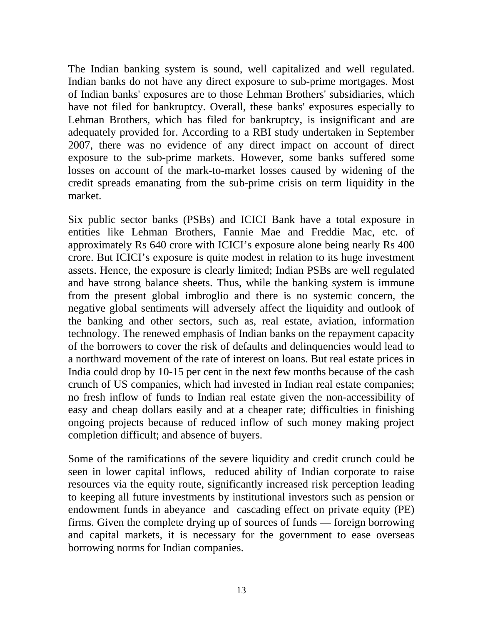The Indian banking system is sound, well capitalized and well regulated. Indian banks do not have any direct exposure to sub-prime mortgages. Most of Indian banks' exposures are to those Lehman Brothers' subsidiaries, which have not filed for bankruptcy. Overall, these banks' exposures especially to Lehman Brothers, which has filed for bankruptcy, is insignificant and are adequately provided for. According to a RBI study undertaken in September 2007, there was no evidence of any direct impact on account of direct exposure to the sub-prime markets. However, some banks suffered some losses on account of the mark-to-market losses caused by widening of the credit spreads emanating from the sub-prime crisis on term liquidity in the market.

Six public sector banks (PSBs) and ICICI Bank have a total exposure in entities like Lehman Brothers, Fannie Mae and Freddie Mac, etc. of approximately Rs 640 crore with ICICI's exposure alone being nearly Rs 400 crore. But ICICI's exposure is quite modest in relation to its huge investment assets. Hence, the exposure is clearly limited; Indian PSBs are well regulated and have strong balance sheets. Thus, while the banking system is immune from the present global imbroglio and there is no systemic concern, the negative global sentiments will adversely affect the liquidity and outlook of the banking and other sectors, such as, real estate, aviation, information technology. The renewed emphasis of Indian banks on the repayment capacity of the borrowers to cover the risk of defaults and delinquencies would lead to a northward movement of the rate of interest on loans. But real estate prices in India could drop by 10-15 per cent in the next few months because of the cash crunch of US companies, which had invested in Indian real estate companies; no fresh inflow of funds to Indian real estate given the non-accessibility of easy and cheap dollars easily and at a cheaper rate; difficulties in finishing ongoing projects because of reduced inflow of such money making project completion difficult; and absence of buyers.

Some of the ramifications of the severe liquidity and credit crunch could be seen in lower capital inflows, reduced ability of Indian corporate to raise resources via the equity route, significantly increased risk perception leading to keeping all future investments by institutional investors such as pension or endowment funds in abeyance and cascading effect on private equity (PE) firms. Given the complete drying up of sources of funds — foreign borrowing and capital markets, it is necessary for the government to ease overseas borrowing norms for Indian companies.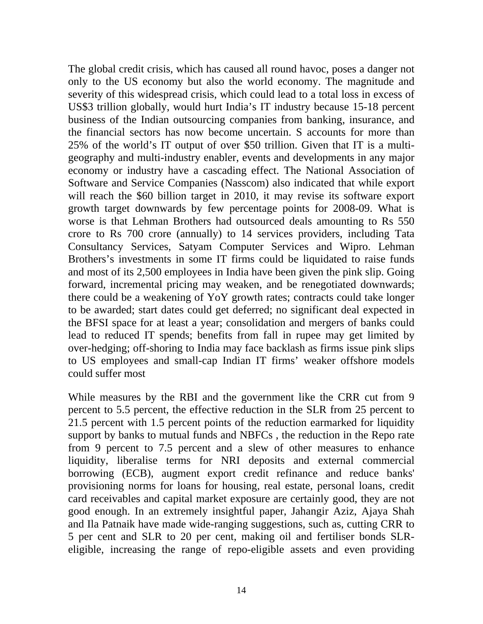The global credit crisis, which has caused all round havoc, poses a danger not only to the US economy but also the world economy. The magnitude and severity of this widespread crisis, which could lead to a total loss in excess of US\$3 trillion globally, would hurt India's IT industry because 15-18 percent business of the Indian outsourcing companies from banking, insurance, and the financial sectors has now become uncertain. S accounts for more than 25% of the world's IT output of over \$50 trillion. Given that IT is a multigeography and multi-industry enabler, events and developments in any major economy or industry have a cascading effect. The National Association of Software and Service Companies (Nasscom) also indicated that while export will reach the \$60 billion target in 2010, it may revise its software export growth target downwards by few percentage points for 2008-09. What is worse is that Lehman Brothers had outsourced deals amounting to Rs 550 crore to Rs 700 crore (annually) to 14 services providers, including Tata Consultancy Services, Satyam Computer Services and Wipro. Lehman Brothers's investments in some IT firms could be liquidated to raise funds and most of its 2,500 employees in India have been given the pink slip. Going forward, incremental pricing may weaken, and be renegotiated downwards; there could be a weakening of YoY growth rates; contracts could take longer to be awarded; start dates could get deferred; no significant deal expected in the BFSI space for at least a year; consolidation and mergers of banks could lead to reduced IT spends; benefits from fall in rupee may get limited by over-hedging; off-shoring to India may face backlash as firms issue pink slips to US employees and small-cap Indian IT firms' weaker offshore models could suffer most

While measures by the RBI and the government like the CRR cut from 9 percent to 5.5 percent, the effective reduction in the SLR from 25 percent to 21.5 percent with 1.5 percent points of the reduction earmarked for liquidity support by banks to mutual funds and NBFCs , the reduction in the Repo rate from 9 percent to 7.5 percent and a slew of other measures to enhance liquidity, liberalise terms for NRI deposits and external commercial borrowing (ECB), augment export credit refinance and reduce banks' provisioning norms for loans for housing, real estate, personal loans, credit card receivables and capital market exposure are certainly good, they are not good enough. In an extremely insightful paper, Jahangir Aziz, Ajaya Shah and Ila Patnaik have made wide-ranging suggestions, such as, cutting CRR to 5 per cent and SLR to 20 per cent, making oil and fertiliser bonds SLReligible, increasing the range of repo-eligible assets and even providing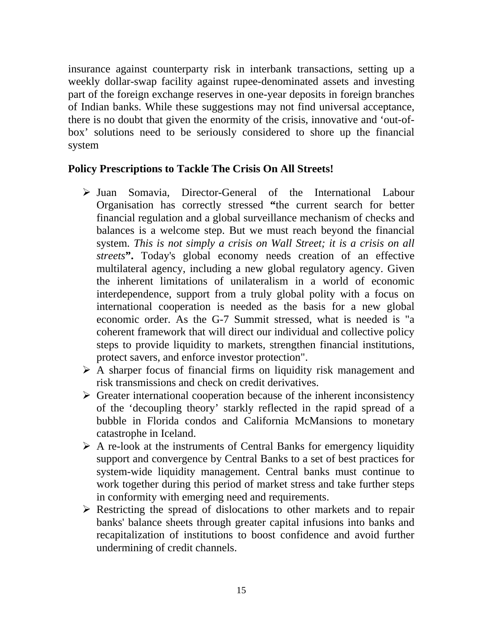insurance against counterparty risk in interbank transactions, setting up a weekly dollar-swap facility against rupee-denominated assets and investing part of the foreign exchange reserves in one-year deposits in foreign branches of Indian banks. While these suggestions may not find universal acceptance, there is no doubt that given the enormity of the crisis, innovative and 'out-ofbox' solutions need to be seriously considered to shore up the financial system

## **Policy Prescriptions to Tackle The Crisis On All Streets!**

- ¾ Juan Somavia, Director-General of the International Labour Organisation has correctly stressed **"**the current search for better financial regulation and a global surveillance mechanism of checks and balances is a welcome step. But we must reach beyond the financial system. *This is not simply a crisis on Wall Street; it is a crisis on all streets***".** Today's global economy needs creation of an effective multilateral agency, including a new global regulatory agency. Given the inherent limitations of unilateralism in a world of economic interdependence, support from a truly global polity with a focus on international cooperation is needed as the basis for a new global economic order. As the G-7 Summit stressed, what is needed is "a coherent framework that will direct our individual and collective policy steps to provide liquidity to markets, strengthen financial institutions, protect savers, and enforce investor protection".
- $\triangleright$  A sharper focus of financial firms on liquidity risk management and risk transmissions and check on credit derivatives.
- $\triangleright$  Greater international cooperation because of the inherent inconsistency of the 'decoupling theory' starkly reflected in the rapid spread of a bubble in Florida condos and California McMansions to monetary catastrophe in Iceland.
- $\triangleright$  A re-look at the instruments of Central Banks for emergency liquidity support and convergence by Central Banks to a set of best practices for system-wide liquidity management. Central banks must continue to work together during this period of market stress and take further steps in conformity with emerging need and requirements.
- $\triangleright$  Restricting the spread of dislocations to other markets and to repair banks' balance sheets through greater capital infusions into banks and recapitalization of institutions to boost confidence and avoid further undermining of credit channels.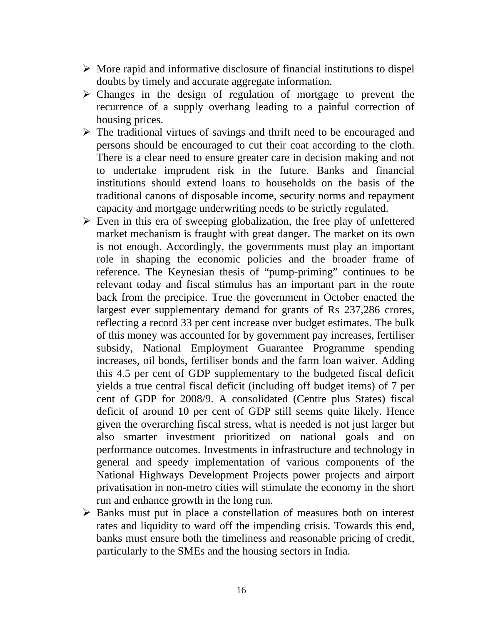- $\triangleright$  More rapid and informative disclosure of financial institutions to dispel doubts by timely and accurate aggregate information.
- $\triangleright$  Changes in the design of regulation of mortgage to prevent the recurrence of a supply overhang leading to a painful correction of housing prices.
- $\triangleright$  The traditional virtues of savings and thrift need to be encouraged and persons should be encouraged to cut their coat according to the cloth. There is a clear need to ensure greater care in decision making and not to undertake imprudent risk in the future. Banks and financial institutions should extend loans to households on the basis of the traditional canons of disposable income, security norms and repayment capacity and mortgage underwriting needs to be strictly regulated.
- $\triangleright$  Even in this era of sweeping globalization, the free play of unfettered market mechanism is fraught with great danger. The market on its own is not enough. Accordingly, the governments must play an important role in shaping the economic policies and the broader frame of reference. The Keynesian thesis of "pump-priming" continues to be relevant today and fiscal stimulus has an important part in the route back from the precipice. True the government in October enacted the largest ever supplementary demand for grants of Rs 237,286 crores, reflecting a record 33 per cent increase over budget estimates. The bulk of this money was accounted for by government pay increases, fertiliser subsidy, National Employment Guarantee Programme spending increases, oil bonds, fertiliser bonds and the farm loan waiver. Adding this 4.5 per cent of GDP supplementary to the budgeted fiscal deficit yields a true central fiscal deficit (including off budget items) of 7 per cent of GDP for 2008/9. A consolidated (Centre plus States) fiscal deficit of around 10 per cent of GDP still seems quite likely. Hence given the overarching fiscal stress, what is needed is not just larger but also smarter investment prioritized on national goals and on performance outcomes. Investments in infrastructure and technology in general and speedy implementation of various components of the National Highways Development Projects power projects and airport privatisation in non-metro cities will stimulate the economy in the short run and enhance growth in the long run.
- $\triangleright$  Banks must put in place a constellation of measures both on interest rates and liquidity to ward off the impending crisis. Towards this end, banks must ensure both the timeliness and reasonable pricing of credit, particularly to the SMEs and the housing sectors in India.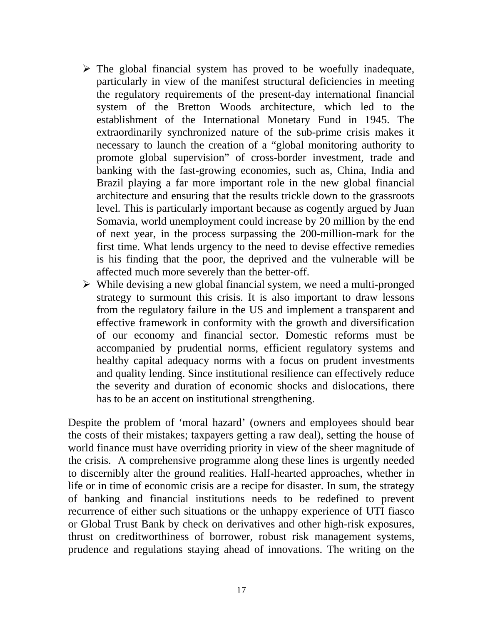- $\triangleright$  The global financial system has proved to be woefully inadequate, particularly in view of the manifest structural deficiencies in meeting the regulatory requirements of the present-day international financial system of the Bretton Woods architecture, which led to the establishment of the International Monetary Fund in 1945. The extraordinarily synchronized nature of the sub-prime crisis makes it necessary to launch the creation of a "global monitoring authority to promote global supervision" of cross-border investment, trade and banking with the fast-growing economies, such as, China, India and Brazil playing a far more important role in the new global financial architecture and ensuring that the results trickle down to the grassroots level*.* This is particularly important because as cogently argued by Juan Somavia, world unemployment could increase by 20 million by the end of next year, in the process surpassing the 200-million-mark for the first time. What lends urgency to the need to devise effective remedies is his finding that the poor, the deprived and the vulnerable will be affected much more severely than the better-off.
- $\triangleright$  While devising a new global financial system, we need a multi-pronged strategy to surmount this crisis. It is also important to draw lessons from the regulatory failure in the US and implement a transparent and effective framework in conformity with the growth and diversification of our economy and financial sector. Domestic reforms must be accompanied by prudential norms, efficient regulatory systems and healthy capital adequacy norms with a focus on prudent investments and quality lending. Since institutional resilience can effectively reduce the severity and duration of economic shocks and dislocations, there has to be an accent on institutional strengthening.

Despite the problem of 'moral hazard' (owners and employees should bear the costs of their mistakes; taxpayers getting a raw deal), setting the house of world finance must have overriding priority in view of the sheer magnitude of the crisis.A comprehensive programme along these lines is urgently needed to discernibly alter the ground realities. Half-hearted approaches, whether in life or in time of economic crisis are a recipe for disaster. In sum, the strategy of banking and financial institutions needs to be redefined to prevent recurrence of either such situations or the unhappy experience of UTI fiasco or Global Trust Bank by check on derivatives and other high-risk exposures, thrust on creditworthiness of borrower, robust risk management systems, prudence and regulations staying ahead of innovations. The writing on the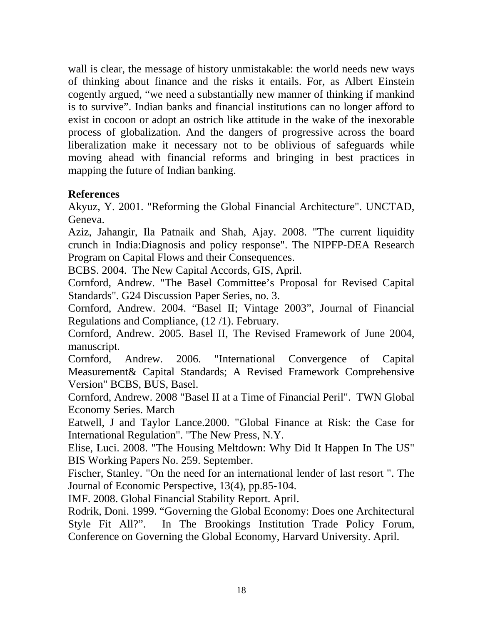wall is clear, the message of history unmistakable: the world needs new ways of thinking about finance and the risks it entails. For, as Albert Einstein cogently argued, "we need a substantially new manner of thinking if mankind is to survive". Indian banks and financial institutions can no longer afford to exist in cocoon or adopt an ostrich like attitude in the wake of the inexorable process of globalization. And the dangers of progressive across the board liberalization make it necessary not to be oblivious of safeguards while moving ahead with financial reforms and bringing in best practices in mapping the future of Indian banking.

### **References**

Akyuz, Y. 2001. "Reforming the Global Financial Architecture". UNCTAD, Geneva.

Aziz, Jahangir, Ila Patnaik and Shah, Ajay. 2008. "The current liquidity crunch in India:Diagnosis and policy response". The NIPFP-DEA Research Program on Capital Flows and their Consequences.

BCBS. 2004. The New Capital Accords, GIS, April.

Cornford, Andrew. "The Basel Committee's Proposal for Revised Capital Standards". G24 Discussion Paper Series, no. 3.

Cornford, Andrew. 2004. "Basel II; Vintage 2003", Journal of Financial Regulations and Compliance, (12 /1). February.

Cornford, Andrew. 2005. Basel II, The Revised Framework of June 2004, manuscript.

Cornford, Andrew. 2006. "International Convergence of Capital Measurement& Capital Standards; A Revised Framework Comprehensive Version" BCBS, BUS, Basel.

Cornford, Andrew. 2008 "Basel II at a Time of Financial Peril". TWN Global Economy Series. March

Eatwell, J and Taylor Lance.2000. "Global Finance at Risk: the Case for International Regulation". "The New Press, N.Y.

Elise, Luci. 2008. "The Housing Meltdown: Why Did It Happen In The US" BIS Working Papers No. 259. September.

Fischer, Stanley. "On the need for an international lender of last resort ". The Journal of Economic Perspective, 13(4), pp.85-104.

IMF. 2008. Global Financial Stability Report. April.

Rodrik, Doni. 1999. "Governing the Global Economy: Does one Architectural Style Fit All?". In The Brookings Institution Trade Policy Forum, Conference on Governing the Global Economy, Harvard University. April.